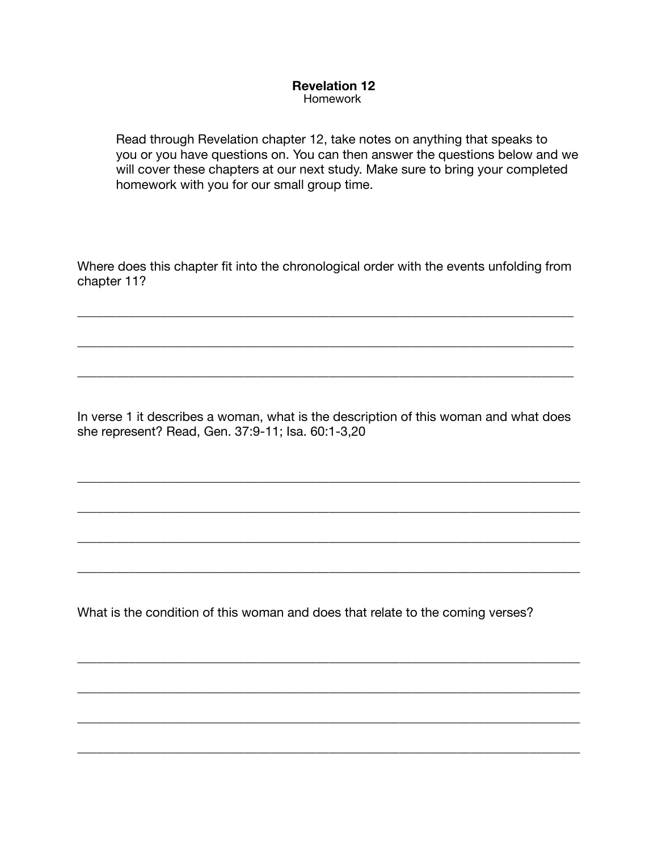## **Revelation 12**  Homework

Read through Revelation chapter 12, take notes on anything that speaks to you or you have questions on. You can then answer the questions below and we will cover these chapters at our next study. Make sure to bring your completed homework with you for our small group time.

Where does this chapter fit into the chronological order with the events unfolding from chapter 11?

\_\_\_\_\_\_\_\_\_\_\_\_\_\_\_\_\_\_\_\_\_\_\_\_\_\_\_\_\_\_\_\_\_\_\_\_\_\_\_\_\_\_\_\_\_\_\_\_\_\_\_\_\_\_\_\_\_\_\_\_\_\_\_\_\_\_\_\_\_\_\_\_\_\_\_\_\_

\_\_\_\_\_\_\_\_\_\_\_\_\_\_\_\_\_\_\_\_\_\_\_\_\_\_\_\_\_\_\_\_\_\_\_\_\_\_\_\_\_\_\_\_\_\_\_\_\_\_\_\_\_\_\_\_\_\_\_\_\_\_\_\_\_\_\_\_\_\_\_\_\_\_\_\_\_

\_\_\_\_\_\_\_\_\_\_\_\_\_\_\_\_\_\_\_\_\_\_\_\_\_\_\_\_\_\_\_\_\_\_\_\_\_\_\_\_\_\_\_\_\_\_\_\_\_\_\_\_\_\_\_\_\_\_\_\_\_\_\_\_\_\_\_\_\_\_\_\_\_\_\_\_\_

In verse 1 it describes a woman, what is the description of this woman and what does she represent? Read, Gen. 37:9-11; Isa. 60:1-3,20

\_\_\_\_\_\_\_\_\_\_\_\_\_\_\_\_\_\_\_\_\_\_\_\_\_\_\_\_\_\_\_\_\_\_\_\_\_\_\_\_\_\_\_\_\_\_\_\_\_\_\_\_\_\_\_\_\_\_\_\_\_\_\_\_\_\_\_\_\_\_\_\_\_\_\_\_\_\_

\_\_\_\_\_\_\_\_\_\_\_\_\_\_\_\_\_\_\_\_\_\_\_\_\_\_\_\_\_\_\_\_\_\_\_\_\_\_\_\_\_\_\_\_\_\_\_\_\_\_\_\_\_\_\_\_\_\_\_\_\_\_\_\_\_\_\_\_\_\_\_\_\_\_\_\_\_\_

\_\_\_\_\_\_\_\_\_\_\_\_\_\_\_\_\_\_\_\_\_\_\_\_\_\_\_\_\_\_\_\_\_\_\_\_\_\_\_\_\_\_\_\_\_\_\_\_\_\_\_\_\_\_\_\_\_\_\_\_\_\_\_\_\_\_\_\_\_\_\_\_\_\_\_\_\_\_

\_\_\_\_\_\_\_\_\_\_\_\_\_\_\_\_\_\_\_\_\_\_\_\_\_\_\_\_\_\_\_\_\_\_\_\_\_\_\_\_\_\_\_\_\_\_\_\_\_\_\_\_\_\_\_\_\_\_\_\_\_\_\_\_\_\_\_\_\_\_\_\_\_\_\_\_\_\_

\_\_\_\_\_\_\_\_\_\_\_\_\_\_\_\_\_\_\_\_\_\_\_\_\_\_\_\_\_\_\_\_\_\_\_\_\_\_\_\_\_\_\_\_\_\_\_\_\_\_\_\_\_\_\_\_\_\_\_\_\_\_\_\_\_\_\_\_\_\_\_\_\_\_\_\_\_\_

\_\_\_\_\_\_\_\_\_\_\_\_\_\_\_\_\_\_\_\_\_\_\_\_\_\_\_\_\_\_\_\_\_\_\_\_\_\_\_\_\_\_\_\_\_\_\_\_\_\_\_\_\_\_\_\_\_\_\_\_\_\_\_\_\_\_\_\_\_\_\_\_\_\_\_\_\_\_

\_\_\_\_\_\_\_\_\_\_\_\_\_\_\_\_\_\_\_\_\_\_\_\_\_\_\_\_\_\_\_\_\_\_\_\_\_\_\_\_\_\_\_\_\_\_\_\_\_\_\_\_\_\_\_\_\_\_\_\_\_\_\_\_\_\_\_\_\_\_\_\_\_\_\_\_\_\_

\_\_\_\_\_\_\_\_\_\_\_\_\_\_\_\_\_\_\_\_\_\_\_\_\_\_\_\_\_\_\_\_\_\_\_\_\_\_\_\_\_\_\_\_\_\_\_\_\_\_\_\_\_\_\_\_\_\_\_\_\_\_\_\_\_\_\_\_\_\_\_\_\_\_\_\_\_\_

What is the condition of this woman and does that relate to the coming verses?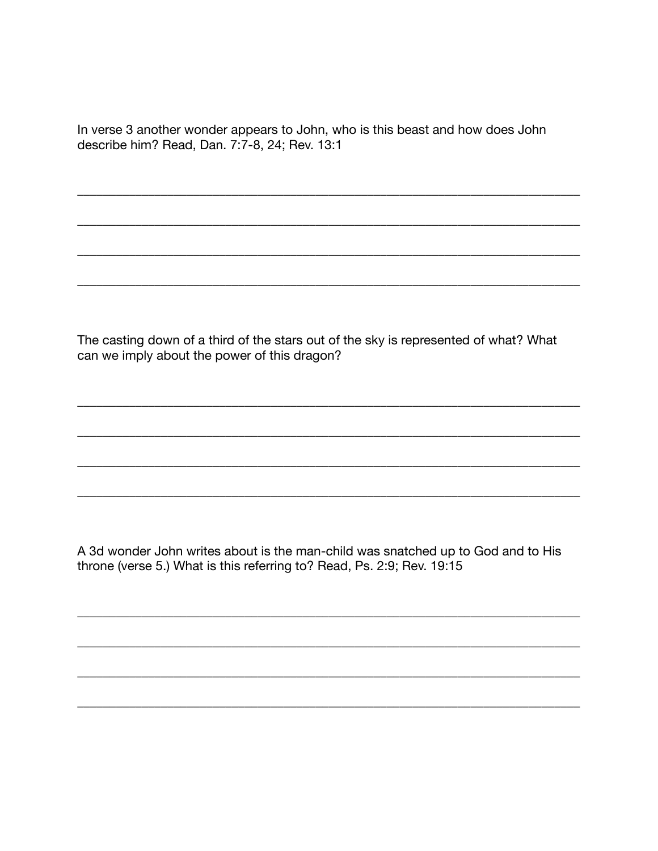In verse 3 another wonder appears to John, who is this beast and how does John describe him? Read, Dan. 7:7-8, 24; Rev. 13:1

The casting down of a third of the stars out of the sky is represented of what? What can we imply about the power of this dragon?

A 3d wonder John writes about is the man-child was snatched up to God and to His throne (verse 5.) What is this referring to? Read, Ps. 2:9; Rev. 19:15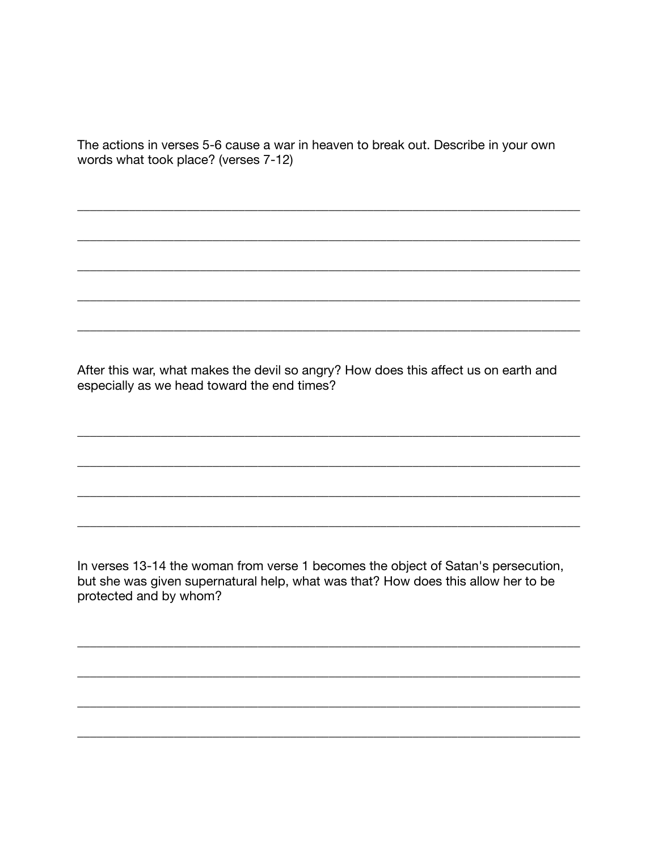| The actions in verses 5-6 cause a war in heaven to break out. Describe in your own |  |  |  |  |
|------------------------------------------------------------------------------------|--|--|--|--|
| words what took place? (verses 7-12)                                               |  |  |  |  |

After this war, what makes the devil so angry? How does this affect us on earth and especially as we head toward the end times?

In verses 13-14 the woman from verse 1 becomes the object of Satan's persecution, but she was given supernatural help, what was that? How does this allow her to be protected and by whom?